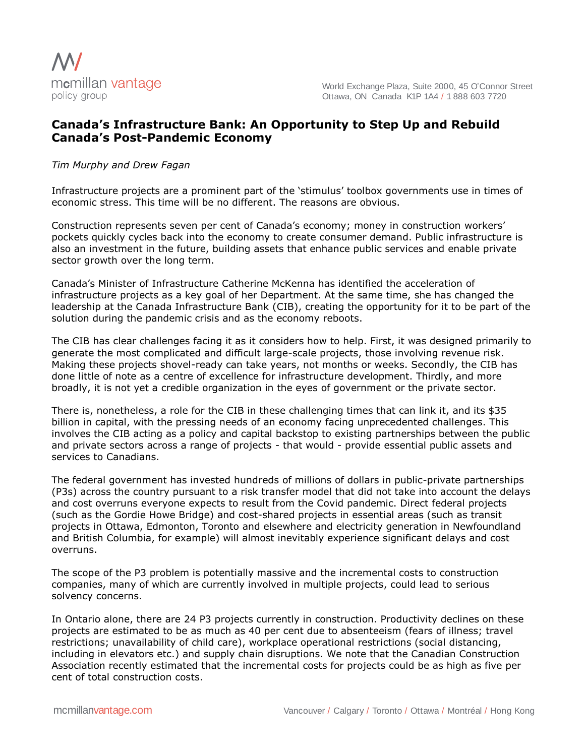

## **Canada's Infrastructure Bank: An Opportunity to Step Up and Rebuild Canada's Post-Pandemic Economy**

## *Tim Murphy and Drew Fagan*

Infrastructure projects are a prominent part of the 'stimulus' toolbox governments use in times of economic stress. This time will be no different. The reasons are obvious.

Construction represents seven per cent of Canada's economy; money in construction workers' pockets quickly cycles back into the economy to create consumer demand. Public infrastructure is also an investment in the future, building assets that enhance public services and enable private sector growth over the long term.

Canada's Minister of Infrastructure Catherine McKenna has identified the acceleration of infrastructure projects as a key goal of her Department. At the same time, she has changed the leadership at the Canada Infrastructure Bank (CIB), creating the opportunity for it to be part of the solution during the pandemic crisis and as the economy reboots.

The CIB has clear challenges facing it as it considers how to help. First, it was designed primarily to generate the most complicated and difficult large-scale projects, those involving revenue risk. Making these projects shovel-ready can take years, not months or weeks. Secondly, the CIB has done little of note as a centre of excellence for infrastructure development. Thirdly, and more broadly, it is not yet a credible organization in the eyes of government or the private sector.

There is, nonetheless, a role for the CIB in these challenging times that can link it, and its \$35 billion in capital, with the pressing needs of an economy facing unprecedented challenges. This involves the CIB acting as a policy and capital backstop to existing partnerships between the public and private sectors across a range of projects - that would - provide essential public assets and services to Canadians.

The federal government has invested hundreds of millions of dollars in public-private partnerships (P3s) across the country pursuant to a risk transfer model that did not take into account the delays and cost overruns everyone expects to result from the Covid pandemic. Direct federal projects (such as the Gordie Howe Bridge) and cost-shared projects in essential areas (such as transit projects in Ottawa, Edmonton, Toronto and elsewhere and electricity generation in Newfoundland and British Columbia, for example) will almost inevitably experience significant delays and cost overruns.

The scope of the P3 problem is potentially massive and the incremental costs to construction companies, many of which are currently involved in multiple projects, could lead to serious solvency concerns.

In Ontario alone, there are 24 P3 projects currently in construction. Productivity declines on these projects are estimated to be as much as 40 per cent due to absenteeism (fears of illness; travel restrictions; unavailability of child care), workplace operational restrictions (social distancing, including in elevators etc.) and supply chain disruptions. We note that the Canadian Construction Association recently estimated that the incremental costs for projects could be as high as five per cent of total construction costs.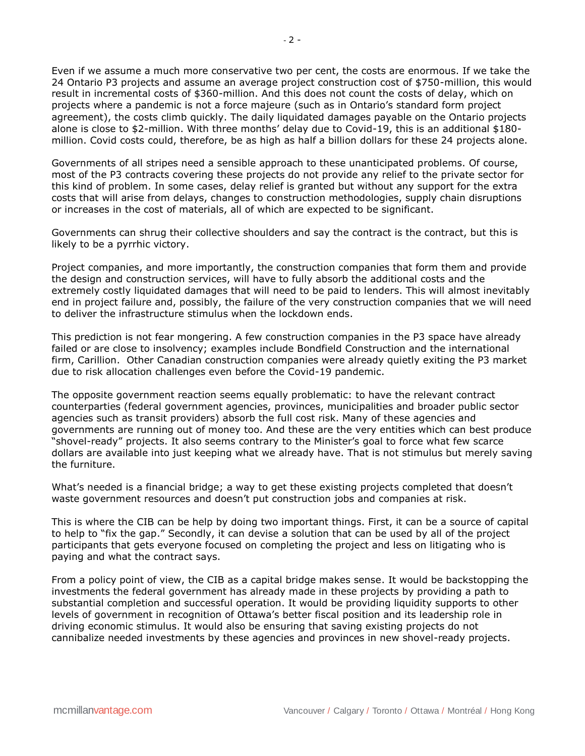Even if we assume a much more conservative two per cent, the costs are enormous. If we take the 24 Ontario P3 projects and assume an average project construction cost of \$750-million, this would result in incremental costs of \$360-million. And this does not count the costs of delay, which on projects where a pandemic is not a force majeure (such as in Ontario's standard form project agreement), the costs climb quickly. The daily liquidated damages payable on the Ontario projects alone is close to \$2-million. With three months' delay due to Covid-19, this is an additional \$180 million. Covid costs could, therefore, be as high as half a billion dollars for these 24 projects alone.

Governments of all stripes need a sensible approach to these unanticipated problems. Of course, most of the P3 contracts covering these projects do not provide any relief to the private sector for this kind of problem. In some cases, delay relief is granted but without any support for the extra costs that will arise from delays, changes to construction methodologies, supply chain disruptions or increases in the cost of materials, all of which are expected to be significant.

Governments can shrug their collective shoulders and say the contract is the contract, but this is likely to be a pyrrhic victory.

Project companies, and more importantly, the construction companies that form them and provide the design and construction services, will have to fully absorb the additional costs and the extremely costly liquidated damages that will need to be paid to lenders. This will almost inevitably end in project failure and, possibly, the failure of the very construction companies that we will need to deliver the infrastructure stimulus when the lockdown ends.

This prediction is not fear mongering. A few construction companies in the P3 space have already failed or are close to insolvency; examples include Bondfield Construction and the international firm, Carillion. Other Canadian construction companies were already quietly exiting the P3 market due to risk allocation challenges even before the Covid-19 pandemic.

The opposite government reaction seems equally problematic: to have the relevant contract counterparties (federal government agencies, provinces, municipalities and broader public sector agencies such as transit providers) absorb the full cost risk. Many of these agencies and governments are running out of money too. And these are the very entities which can best produce "shovel-ready" projects. It also seems contrary to the Minister's goal to force what few scarce dollars are available into just keeping what we already have. That is not stimulus but merely saving the furniture.

What's needed is a financial bridge; a way to get these existing projects completed that doesn't waste government resources and doesn't put construction jobs and companies at risk.

This is where the CIB can be help by doing two important things. First, it can be a source of capital to help to "fix the gap." Secondly, it can devise a solution that can be used by all of the project participants that gets everyone focused on completing the project and less on litigating who is paying and what the contract says.

From a policy point of view, the CIB as a capital bridge makes sense. It would be backstopping the investments the federal government has already made in these projects by providing a path to substantial completion and successful operation. It would be providing liquidity supports to other levels of government in recognition of Ottawa's better fiscal position and its leadership role in driving economic stimulus. It would also be ensuring that saving existing projects do not cannibalize needed investments by these agencies and provinces in new shovel-ready projects.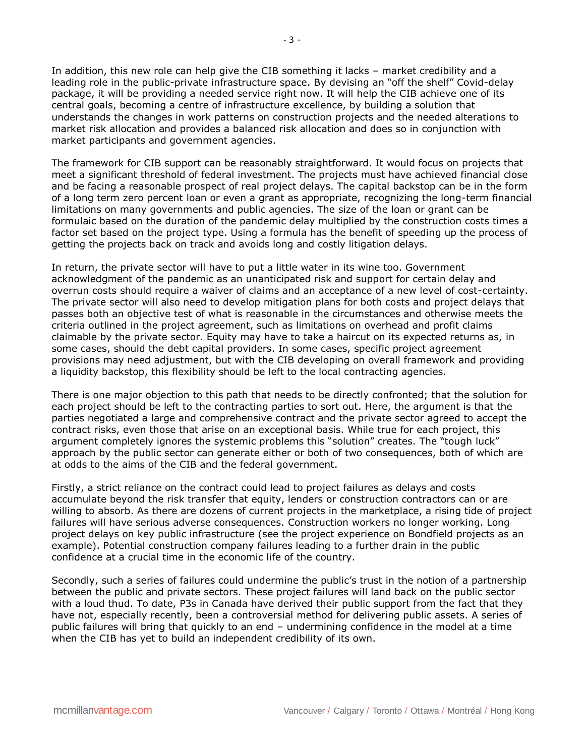In addition, this new role can help give the CIB something it lacks – market credibility and a leading role in the public-private infrastructure space. By devising an "off the shelf" Covid-delay package, it will be providing a needed service right now. It will help the CIB achieve one of its central goals, becoming a centre of infrastructure excellence, by building a solution that understands the changes in work patterns on construction projects and the needed alterations to market risk allocation and provides a balanced risk allocation and does so in conjunction with market participants and government agencies.

The framework for CIB support can be reasonably straightforward. It would focus on projects that meet a significant threshold of federal investment. The projects must have achieved financial close and be facing a reasonable prospect of real project delays. The capital backstop can be in the form of a long term zero percent loan or even a grant as appropriate, recognizing the long-term financial limitations on many governments and public agencies. The size of the loan or grant can be formulaic based on the duration of the pandemic delay multiplied by the construction costs times a factor set based on the project type. Using a formula has the benefit of speeding up the process of getting the projects back on track and avoids long and costly litigation delays.

In return, the private sector will have to put a little water in its wine too. Government acknowledgment of the pandemic as an unanticipated risk and support for certain delay and overrun costs should require a waiver of claims and an acceptance of a new level of cost-certainty. The private sector will also need to develop mitigation plans for both costs and project delays that passes both an objective test of what is reasonable in the circumstances and otherwise meets the criteria outlined in the project agreement, such as limitations on overhead and profit claims claimable by the private sector. Equity may have to take a haircut on its expected returns as, in some cases, should the debt capital providers. In some cases, specific project agreement provisions may need adjustment, but with the CIB developing on overall framework and providing a liquidity backstop, this flexibility should be left to the local contracting agencies.

There is one major objection to this path that needs to be directly confronted; that the solution for each project should be left to the contracting parties to sort out. Here, the argument is that the parties negotiated a large and comprehensive contract and the private sector agreed to accept the contract risks, even those that arise on an exceptional basis. While true for each project, this argument completely ignores the systemic problems this "solution" creates. The "tough luck" approach by the public sector can generate either or both of two consequences, both of which are at odds to the aims of the CIB and the federal government.

Firstly, a strict reliance on the contract could lead to project failures as delays and costs accumulate beyond the risk transfer that equity, lenders or construction contractors can or are willing to absorb. As there are dozens of current projects in the marketplace, a rising tide of project failures will have serious adverse consequences. Construction workers no longer working. Long project delays on key public infrastructure (see the project experience on Bondfield projects as an example). Potential construction company failures leading to a further drain in the public confidence at a crucial time in the economic life of the country.

Secondly, such a series of failures could undermine the public's trust in the notion of a partnership between the public and private sectors. These project failures will land back on the public sector with a loud thud. To date, P3s in Canada have derived their public support from the fact that they have not, especially recently, been a controversial method for delivering public assets. A series of public failures will bring that quickly to an end – undermining confidence in the model at a time when the CIB has yet to build an independent credibility of its own.